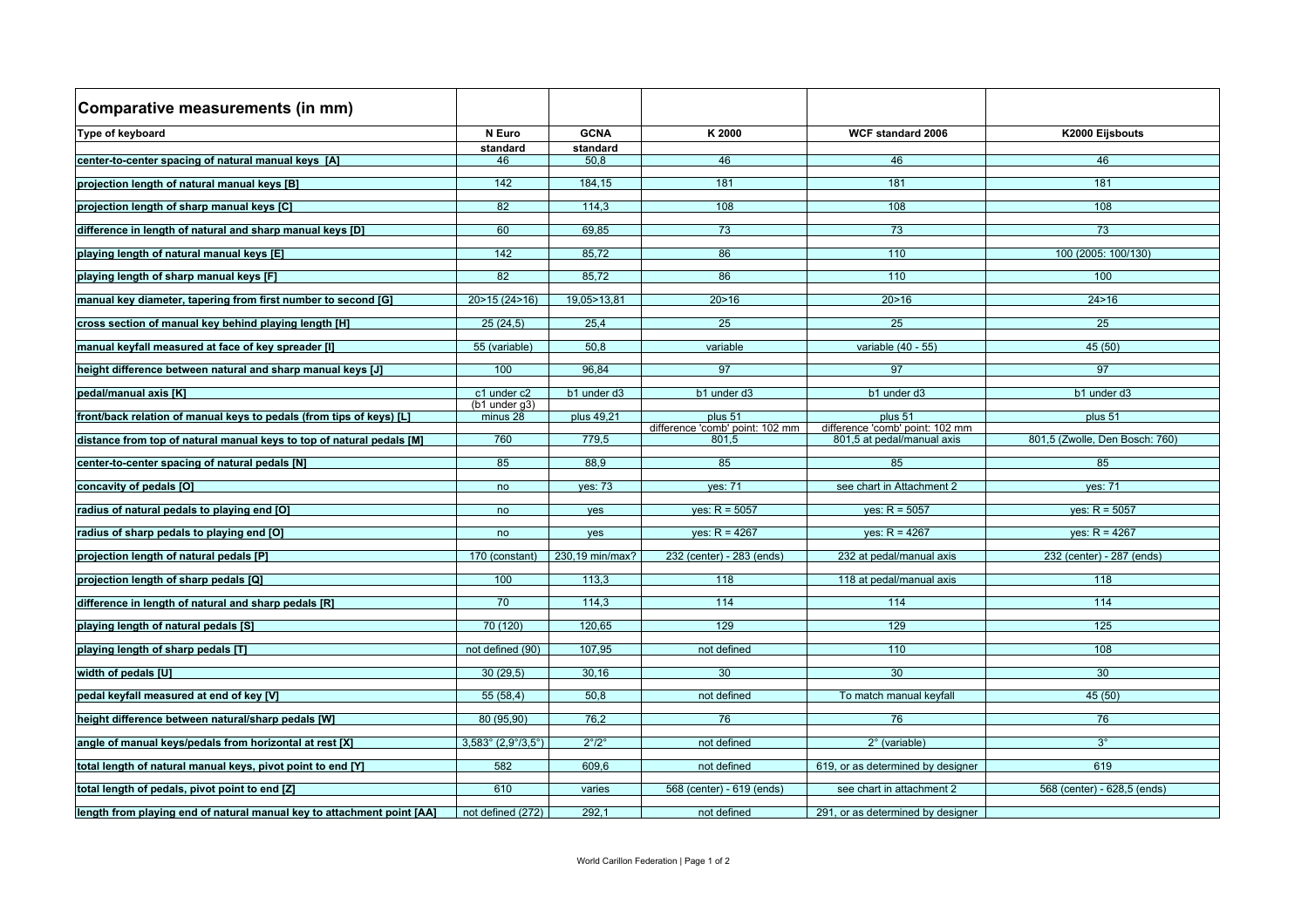| Comparative measurements (in mm)                                       |                                                 |                       |                                          |                                                               |                                |
|------------------------------------------------------------------------|-------------------------------------------------|-----------------------|------------------------------------------|---------------------------------------------------------------|--------------------------------|
| Type of keyboard                                                       | N Euro                                          | <b>GCNA</b>           | K 2000                                   | <b>WCF standard 2006</b>                                      | K2000 Eijsbouts                |
| center-to-center spacing of natural manual keys [A]                    | standard<br>46                                  | standard<br>50.8      | 46                                       | 46                                                            | 46                             |
|                                                                        |                                                 |                       |                                          |                                                               |                                |
| projection length of natural manual keys [B]                           | 142                                             | 184.15                | 181                                      | 181                                                           | 181                            |
| projection length of sharp manual keys [C]                             | 82                                              | 114.3                 | 108                                      | 108                                                           | 108                            |
| difference in length of natural and sharp manual keys [D]              | 60                                              | 69.85                 | 73                                       | 73                                                            | 73                             |
| playing length of natural manual keys [E]                              | 142                                             | 85.72                 | 86                                       | 110                                                           | 100 (2005: 100/130)            |
| playing length of sharp manual keys [F]                                | 82                                              | 85.72                 | 86                                       | 110                                                           | 100                            |
| manual key diameter, tapering from first number to second [G]          | 20>15 (24>16)                                   | 19,05>13,81           | 20 > 16                                  | 20 > 16                                                       | 24 > 16                        |
| cross section of manual key behind playing length [H]                  | 25(24.5)                                        | 25.4                  | 25                                       | 25                                                            | 25                             |
| manual keyfall measured at face of key spreader [I]                    | 55 (variable)                                   | 50.8                  | variable                                 | variable (40 - 55)                                            | 45(50)                         |
| height difference between natural and sharp manual keys [J]            | 100                                             | 96.84                 | 97                                       | 97                                                            | 97                             |
| pedal/manual axis [K]                                                  | c1 under c2                                     | b1 under d3           | b1 under d3                              | b1 under d3                                                   | b1 under d3                    |
| front/back relation of manual keys to pedals (from tips of keys) [L]   | $(b1$ under $q3)$<br>minus 28                   | plus 49.21            | plus 51                                  | plus 51                                                       | plus 51                        |
| distance from top of natural manual keys to top of natural pedals [M]  | 760                                             | 779.5                 | difference 'comb' point: 102 mm<br>801.5 | difference 'comb' point: 102 mm<br>801,5 at pedal/manual axis | 801,5 (Zwolle, Den Bosch: 760) |
| center-to-center spacing of natural pedals [N]                         | 85                                              | 88.9                  | 85                                       | 85                                                            | 85                             |
| concavity of pedals [O]                                                | no                                              | <b>ves: 73</b>        | <b>ves: 71</b>                           | see chart in Attachment 2                                     | <b>ves: 71</b>                 |
| radius of natural pedals to playing end [O]                            | no                                              | <b>ves</b>            | $ves: R = 5057$                          | $ves: R = 5057$                                               | $ves: R = 5057$                |
| radius of sharp pedals to playing end [O]                              | no                                              | ves                   | $ves: R = 4267$                          | $ves: R = 4267$                                               | $ves: R = 4267$                |
| projection length of natural pedals [P]                                | 170 (constant)                                  | 230,19 min/max?       | 232 (center) - 283 (ends)                | 232 at pedal/manual axis                                      | 232 (center) - 287 (ends)      |
| projection length of sharp pedals [Q]                                  | 100                                             | 113.3                 | 118                                      | 118 at pedal/manual axis                                      | 118                            |
| difference in length of natural and sharp pedals [R]                   | 70                                              | 114.3                 | $\frac{114}{114}$                        | 114                                                           | 114                            |
| playing length of natural pedals [S]                                   | 70 (120)                                        | 120.65                | 129                                      | 129                                                           | 125                            |
| playing length of sharp pedals [T]                                     | not defined (90)                                | 107,95                | not defined                              | 110                                                           | 108                            |
| width of pedals [U]                                                    | 30(29.5)                                        | 30,16                 | 30                                       | 30                                                            | 30                             |
| pedal keyfall measured at end of key [V]                               | 55(58.4)                                        | 50.8                  | not defined                              | To match manual keyfall                                       | 45(50)                         |
| height difference between natural/sharp pedals [W]                     | 80 (95.90)                                      | 76.2                  | 76                                       | 76                                                            | 76                             |
| angle of manual keys/pedals from horizontal at rest [X]                | $3,583^{\circ}$ (2,9 $\degree$ /3,5 $\degree$ ) | $2^{\circ}/2^{\circ}$ | not defined                              | $2^\circ$ (variable)                                          | $3^\circ$                      |
| total length of natural manual keys, pivot point to end [Y]            | 582                                             | 609,6                 | not defined                              | 619, or as determined by designer                             | 619                            |
| total length of pedals, pivot point to end [Z]                         | 610                                             | varies                | 568 (center) - 619 (ends)                | see chart in attachment 2                                     | 568 (center) - 628,5 (ends)    |
| length from playing end of natural manual key to attachment point [AA] | not defined $(272)$                             | 292.1                 | not defined                              | 291, or as determined by designer                             |                                |